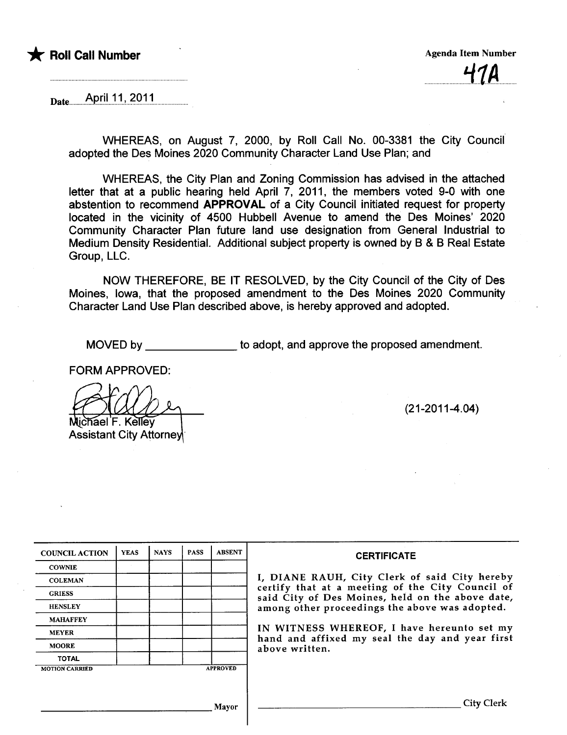# \* Roll Call Number Agenda Item Number Agenda Item Number

Date.......Apri.l...1J.....?9..1.1

WHEREAS, on August 7, 2000, by Roll Call No. 00-3381 the City Council adopted the Des Moines 2020 Community Character Land Use Plan; and

WHEREAS, the City Plan and Zoning Commission has advised in the attached letter that at a public hearing held April 7, 2011, the members voted 9-0 with one abstention to recommend APPROVAL of a City Council initiated request for property located in the vicinity of 4500 Hubbell Avenue to amend the Des Moines' 2020 Community Character Plan future land use designation from General Industrial to Medium Density Residential. Additional subject property is owned by B & B Real Estate Group, LLC.

NOW THEREFORE, BE IT RESOLVED, by the City Council of the City of Des Moines, Iowa, that the proposed amendment to the Des Moines 2020 Community Character Land Use Plan described above, is hereby approved and adopted.

MOVED by \_\_\_\_\_\_\_\_\_\_\_\_\_\_\_\_ to adopt, and approve the proposed amendment.

FORM APPROVED:

| lichael.<br>. . |  |
|-----------------|--|

**Assistant City Attorney** 

(21-2011-4.04)

| <b>COUNCIL ACTION</b> | <b>YEAS</b> | <b>NAYS</b> | <b>PASS</b> | <b>ABSENT</b>   | <b>CERTIFICATE</b>                                                                                   |
|-----------------------|-------------|-------------|-------------|-----------------|------------------------------------------------------------------------------------------------------|
| <b>COWNIE</b>         |             |             |             |                 |                                                                                                      |
| <b>COLEMAN</b>        |             |             |             |                 | I, DIANE RAUH, City Clerk of said City hereby                                                        |
| <b>GRIESS</b>         |             |             |             |                 | certify that at a meeting of the City Council of<br>said City of Des Moines, held on the above date, |
| <b>HENSLEY</b>        |             |             |             |                 | among other proceedings the above was adopted.                                                       |
| <b>MAHAFFEY</b>       |             |             |             |                 |                                                                                                      |
| <b>MEYER</b>          |             |             |             |                 | IN WITNESS WHEREOF, I have hereunto set my<br>hand and affixed my seal the day and year first        |
| <b>MOORE</b>          |             |             |             |                 | above written.                                                                                       |
| <b>TOTAL</b>          |             |             |             |                 |                                                                                                      |
| <b>MOTION CARRIED</b> |             |             |             | <b>APPROVED</b> |                                                                                                      |
|                       |             |             |             |                 |                                                                                                      |
|                       |             |             |             | Mayor           | <b>City Clerk</b>                                                                                    |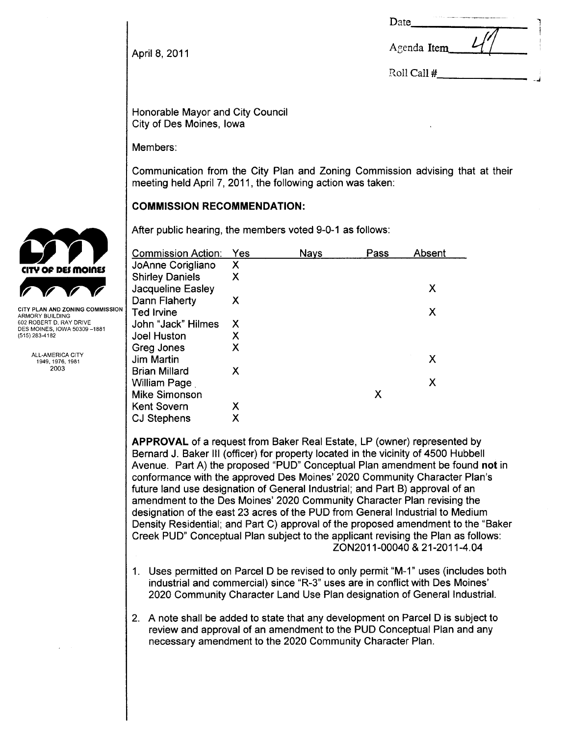|               | Date        | <b>Chairman collections and</b> |
|---------------|-------------|---------------------------------|
| April 8, 2011 | Agenda Item |                                 |

-.J

Roll Call #

Honorable Mayor and City Council City of Des Moines, Iowa

Members:

Communication from the City Plan and Zoning Commission advising that at their meeting held April 7, 2011, the following action was taken:

COMMISSION RECOMMENDATION:

After public hearing, the members voted 9-0-1 as follows:

|                                                        | <b>Commission Action:</b> | Yes | <b>Nays</b> | Pass | Absent |
|--------------------------------------------------------|---------------------------|-----|-------------|------|--------|
| CITY OF DES MOINES                                     | JoAnne Corigliano         | X   |             |      |        |
|                                                        | <b>Shirley Daniels</b>    | X   |             |      |        |
|                                                        | Jacqueline Easley         |     |             |      | X      |
|                                                        | Dann Flaherty             | X   |             |      |        |
| CITY PLAN AND ZONING COMMISSION<br>ARMORY BUILDING     | Ted Irvine                |     |             |      | X      |
| 602 ROBERT D. RAY DRIVE<br>DES MOINES, IOWA 50309-1881 | John "Jack" Hilmes        | Х   |             |      |        |
| (515) 283-4182                                         | Joel Huston               | Χ   |             |      |        |
|                                                        | Greg Jones                | Χ   |             |      |        |
| ALL-AMERICA CITY<br>1949, 1976, 1981                   | Jim Martin                |     |             |      | Х      |
| 2003                                                   | <b>Brian Millard</b>      | х   |             |      |        |
|                                                        | William Page              |     |             |      | X      |
|                                                        | <b>Mike Simonson</b>      |     |             | X    |        |
|                                                        | <b>Kent Sovern</b>        | Χ   |             |      |        |
|                                                        | <b>CJ Stephens</b>        | Χ   |             |      |        |

APPROVAL of a request from Baker Real Estate, LP (owner) represented by Bernard J. Baker III (officer) for property located in the vicinity of 4500 Hubbell Avenue. Part A) the proposed "PUD" Conceptual Plan amendment be found not in conformance with the approved Des Moines' 2020 Community Character Plan's future land use designation of General Industrial; and Part B) approval of an amendment to the Des Moines' 2020 Community Character Plan revising the designation of the east 23 acres of the PUD from General Industrial to Medium Density Residential; and Part C) approval of the proposed amendment to the "Baker Creek PUD" Conceptual Plan subject to the applicant revising the Plan as follows: ZON2011-00040 & 21-2011-4.04

- 1. Uses permitted on Parcel D be revised to only permit "M-1" uses (includes both industrial and commercial) since "R-3" uses are in conflict with Des Moines' 2020 Community Character Land Use Plan designation of General IndustriaL.
- 2. A note shall be added to state that any development on Parcel D is subject to review and approval of an amendment to the PUD Conceptual Plan and any necessary amendment to the 2020 Community Character Plan.

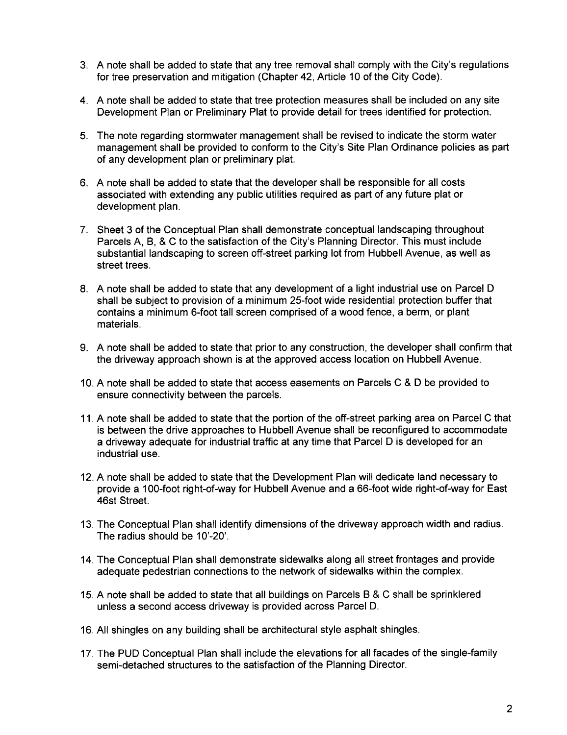- 3. A note shall be added to state that any tree removal shall comply with the City's regulations for tree preservation and mitigation (Chapter 42, Article 10 of the City Code).
- 4. A note shall be added to state that tree protection measures shall be included on any site Development Plan or Preliminary Plat to provide detail for trees identified for protection.
- 5. The note regarding stormwater management shall be revised to indicate the storm water management shall be provided to conform to the City's Site Plan Ordinance policies as part of any development plan or preliminary plat.
- 6. A note shall be added to state that the developer shall be responsible for all costs associated with extending any public utilities required as part of any future plat or development plan.
- 7. Sheet 3 of the Conceptual Plan shall demonstrate conceptual landscaping throughout Parcels A, B, & C to the satisfaction of the City's Planning Director. This must include substantial landscaping to screen off-street parking lot from Hubbell Avenue, as well as street trees.
- 8. A note shall be added to state that any development of a light industrial use on Parcel D shall be subject to provision of a minimum 25-foot wide residential protection buffer that contains a minimum 6-foot tall screen comprised of a wood fence, a berm, or plant materials.
- 9. A note shall be added to state that prior to any construction, the developer shall confirm that the driveway approach shown is at the approved access location on Hubbell Avenue.
- 10. A note shall be added to state that access easements on Parcels C & D be provided to ensure connectivity between the parcels.
- 11. A note shall be added to state that the portion of the off-street parking area on Parcel C that is between the drive approaches to Hubbell Avenue shall be reconfigured to accommodate a driveway adequate for industrial traffic at any time that Parcel D is developed for an industrial use.
- 12. A note shall be added to state that the Development Plan will dedicate land necessary to provide a 100-foot right-of-way for Hubbell Avenue and a 66-foot wide right-of-way for East 46st Street.
- 13. The Conceptual Plan shall identify dimensions of the driveway approach width and radius. The radius should be 10'-20'.
- 14. The Conceptual Plan shall demonstrate sidewalks along all street frontages and provide adequate pedestrian connections to the network of sidewalks within the complex.
- 15. A note shall be added to state that all buildings on Parcels B & C shall be sprinklered unless a second access driveway is provided across Parcel D.
- 16. All shingles on any building shall be architectural style asphalt shingles.
- 17. The PUD Conceptual Plan shall include the elevations for all facades of the single-family semi-detached structures to the satisfaction of the Planning Director.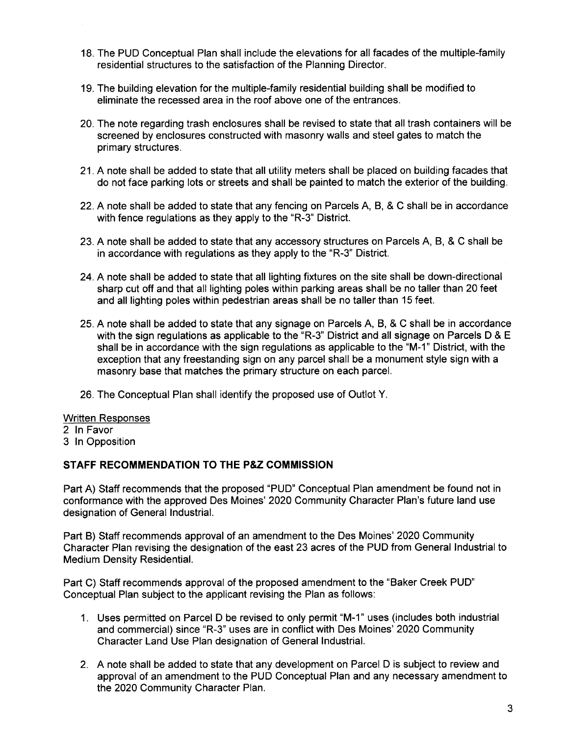- 18. The PUD Conceptual Plan shall include the elevations for all facades of the multiple-family residential structures to the satisfaction of the Planning Director.
- 19. The building elevation for the multiple-family residential building shall be modified to eliminate the recessed area in the roof above one of the entrances.
- 20. The note regarding trash enclosures shall be revised to state that all trash containers will be screened by enclosures constructed with masonry walls and steel gates to match the primary structures.
- 21. A note shall be added to state that all utility meters shall be placed on building facades that do not face parking lots or streets and shall be painted to match the exterior of the building.
- 22. A note shall be added to state that any fencing on Parcels A, B, & C shall be in accordance with fence regulations as they apply to the "R-3" District.
- 23. A note shall be added to state that any accessory structures on Parcels A, B, & C shall be in accordance with regulations as they apply to the "R-3" District.
- 24. A note shall be added to state that all lighting fixtures on the site shall be down-directional sharp cut off and that all lighting poles within parking areas shall be no taller than 20 feet and all lighting poles within pedestrian areas shall be no taller than 15 feet.
- 25. A note shall be added to state that any signage on Parcels A, B, & C shall be in accordance with the sign regulations as applicable to the "R-3" District and all signage on Parcels D & E shall be in accordance with the sign regulations as applicable to the "M-1" District, with the exception that any freestanding sign on any parcel shall be a monument style sign with a masonry base that matches the primary structure on each parceL.
- 26. The Conceptual Plan shall identify the proposed use of Outlot Y.

#### Written Responses

- 2 In Favor
- 3 In Opposition

## STAFF RECOMMENDATION TO THE P&Z COMMISSION

Part A) Staff recommends that the proposed "PUD" Conceptual Plan amendment be found not in conformance with the approved Des Moines' 2020 Community Character Plan's future land use designation of General IndustriaL.

Part B) Staff recommends approval of an amendment to the Des Moines' 2020 Community Character Plan revising the designation of the east 23 acres of the PUD from General Industrial to Medium Density ResidentiaL.

Part C) Staff recommends approval of the proposed amendment to the "Baker Creek PUD" Conceptual Plan subject to the applicant revising the Plan as follows:

- 1. Uses permitted on Parcel D be revised to only permit "M-1" uses (includes both industrial and commercial) since "R-3" uses are in conflict with Des Moines' 2020 Community Character Land Use Plan designation of General IndustriaL.
- 2. A note shall be added to state that any development on Parcel D is subject to review and approval of an amendment to the PUD Conceptual Plan and any necessary amendment to the 2020 Community Character Plan.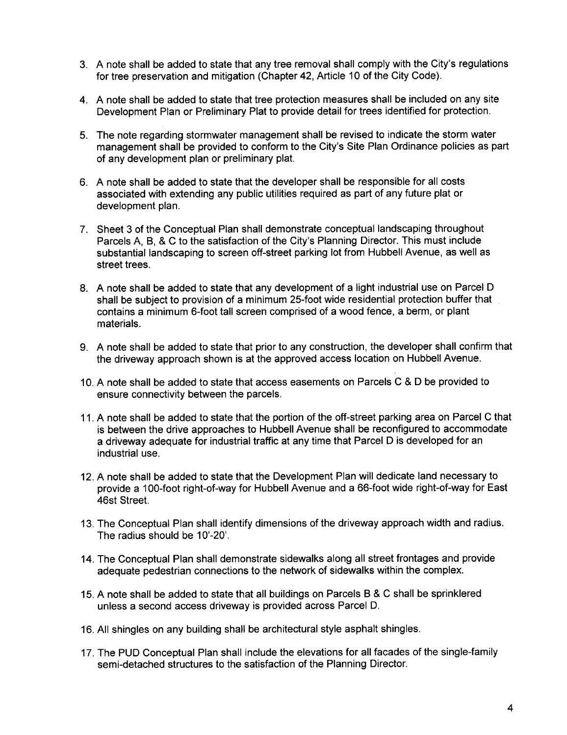- 3. A note shall be added to state that any tree removal shall comply with the City's regulations for tree preservation and mitigation (Chapter 42, Article 10 of the City Code).
- 4. A note shall be added to state that tree protection measures shall be included on any site Development Plan or Preliminary Plat to provide detail for trees identified for protection.
- 5. The note regarding stormwater management shall be revised to indicate the storm water management shall be provided to conform to the City's Site Plan Ordinance policies as part of any development plan or preliminary plat.
- 6. A note shall be added to state that the developer shall be responsible for all costs associated with extending any public utilities required as part of any future plat or development plan.
- 7. Sheet 3 of the Conceptual Plan shall demonstrate conceptual landscaping throughout Parcels A, B, & C to the satisfaction of the City's Planning Director. This must include substantial landscaping to screen off-street parking lot from Hubbell Avenue, as well as street trees.
- 8. A note shall be added to state that any development of a light industrial use on Parcel D shall be subject to provision of a minimum 25-foot wide residential protection buffer that contains a minimum 6-foot tall screen comprised of a wood fence, a berm, or plant materials.
- 9. A note shall be added to state that prior to any construction, the developer shall confirm that the driveway approach shown is at the approved access location on Hubbell Avenue.
- 10. A note shall be added to state that access easements on Parcels C & D be provided to ensure connectivity between the parcels.
- 11. A note shall be added to state that the portion of the off-street parking area on Parcel C that is between the drive approaches to Hubbell Avenue shall be reconfigured to accommodate a driveway adequate for industrial traffic at any time that Parcel D is developed for an industrial use.
- 12. A note shall be added to state that the Development Plan will dedicate land necessary to provide a 100-foot right-of-way for Hubbell Avenue and a 66-foot wide right-of-way for East 46st Street.
- 13. The Conceptual Plan shall identify dimensions of the driveway approach width and radius. The radius should be 10'-20'.
- 14. The Conceptual Plan shall demonstrate sidewalks along all street frontages and provide adequate pedestrian connections to the network of sidewalks within the complex.
- 15. A note shall be added to state that all buildings on Parcels B & C shall be sprinklered unless a second access driveway is provided across Parcel D.
- 16. All shingles on any building shall be architectural style asphalt shingles.
- 17. The PUD Conceptual Plan shall include the elevations for all facades of the single-family semi-detached structures to the satisfaction of the Planning Director.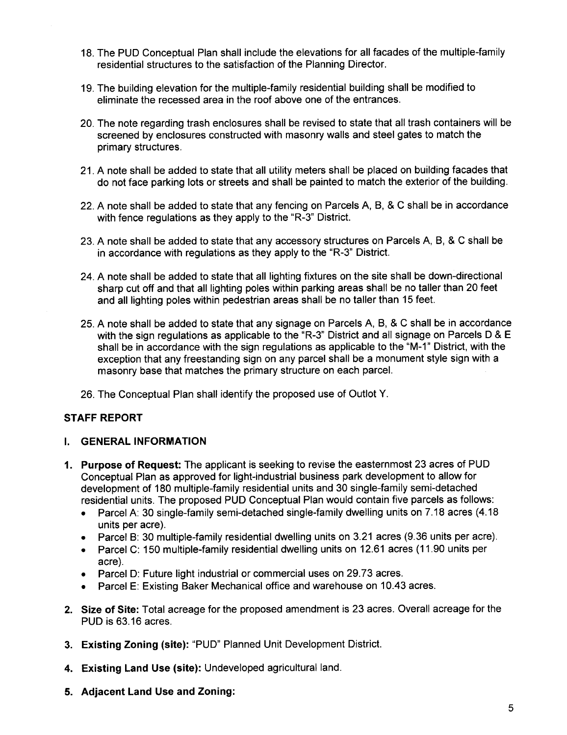- 18. The PUD Conceptual Plan shall include the elevations for all facades of the multiple-family residential structures to the satisfaction of the Planning Director.
- 19. The building elevation for the multiple-family residential building shall be modified to eliminate the recessed area in the roof above one of the entrances.
- 20. The note regarding trash enclosures shall be revised to state that all trash containers will be screened by enclosures constructed with masonry walls and steel gates to match the primary structures.
- 21. A note shall be added to state that all utility meters shall be placed on building facades that do not face parking lots or streets and shall be painted to match the exterior of the building.
- 22. A note shall be added to state that any fencing on Parcels A, B, & C shall be in accordance with fence regulations as they apply to the "R-3" District.
- 23. A note shall be added to state that any accessory structures on Parcels A, B, & C shall be in accordance with regulations as they apply to the "R-3" District.
- 24. A note shall be added to state that all lighting fixtures on the site shall be down-directional sharp cut off and that all lighting poles within parking areas shall be no taller than 20 feet and all lighting poles within pedestrian areas shall be no taller than 15 feet.
- 25. A note shall be added to state that any signage on Parcels A, B, & C shall be in accordance with the sign regulations as applicable to the "R-3" District and all signage on Parcels D & E shall be in accordance with the sign regulations as applicable to the "M-1" District, with the exception that any freestanding sign on any parcel shall be a monument style sign with a masonry base that matches the primary structure on each parceL.
- 26. The Conceptual Plan shall identify the proposed use of Outlot Y.

## STAFF REPORT

#### i. GENERAL INFORMATION

- 1. Purpose of Request: The applicant is seeking to revise the easternmost 23 acres of PUD Conceptual Plan as approved for light-industrial business park development to allow for development of 180 multiple-family residential units and 30 single-family semi-detached residential units. The proposed PUD Conceptual Plan would contain five parcels as follows:
	- . Parcel A: 30 single-family semi-detached single-family dwelling units on 7.18 acres (4.18 units per acre).
	- . Parcel B: 30 multiple-family residential dwellng units on 3.21 acres (9.36 units per acre).
	- . Parcel C: 150 multiple-family residential dwelling units on 12.61 acres (11.90 units per acre).
	- . Parcel D: Future light industrial or commercial uses on 29.73 acres.
	- . Parcel E: Existing Baker Mechanical office and warehouse on 10.43 acres.
- 2. Size of Site: Total acreage for the proposed amendment is 23 acres. Overall acreage for the PUD is 63.16 acres.
- 3. Existing Zoning (site): "PUD" Planned Unit Development District.
- 4. Existing Land Use (site): Undeveloped agricultural land.
- 5. Adjacent Land Use and Zoning: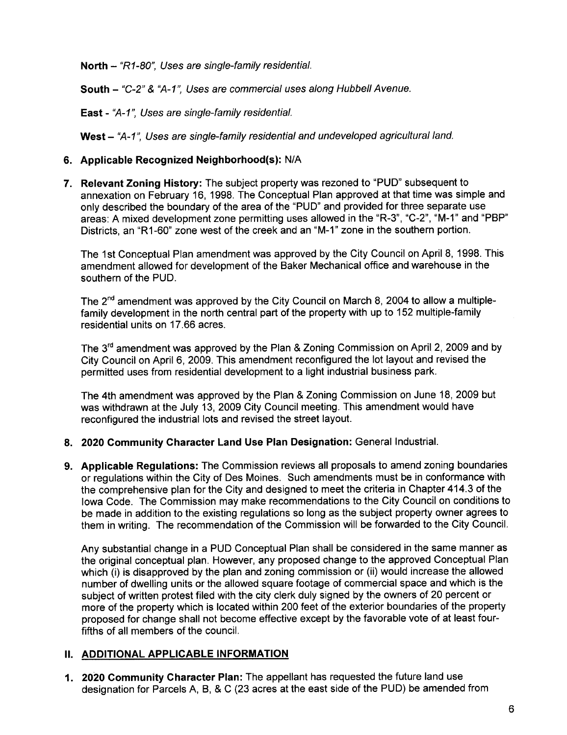North - "R1-80", Uses are single-family residential.

South - "C-2" & "A-1", Uses are commercial uses along Hubbell Avenue.

East - "A-1", Uses are single-family residential.

West - "A-1", Uses are single-family residential and undeveloped agricultural land.

# 6. Applicable Recognized Neighborhood(s): NIA

7. Relevant Zoning History: The subject property was rezoned to "PUD" subsequent to annexation on February 16, 1998. The Conceptual Plan approved at that time was simple and only described the boundary of the area of the "PUD" and provided for three separate use areas: A mixed development zone permitting uses allowed in the "R-3", "C-2", "M-1" and "PBP" Districts, an "R1-60" zone west of the creek and an "M-1" zone in the southern portion.

The 1st Conceptual Plan amendment was approved by the City Council on April 8, 1998. This amendment allowed for development of the Baker Mechanical office and warehouse in the southern of the PUD.

The 2<sup>nd</sup> amendment was approved by the City Council on March 8, 2004 to allow a multiplefamily development in the north central part of the property with up to 152 multiple-family residential units on 17.66 acres.

The 3<sup>rd</sup> amendment was approved by the Plan & Zoning Commission on April 2, 2009 and by City Council on April 6, 2009. This amendment reconfigured the lot layout and revised the permitted uses from residential development to a light industrial business park.

The 4th amendment was approved by the Plan & Zoning Commission on June 18, 2009 but was withdrawn at the July 13, 2009 City Council meeting. This amendment would have reconfigured the industrial lots and revised the street layout.

## 8. 2020 Community Character Land Use Plan Designation: General IndustriaL.

9. Applicable Regulations: The Commission reviews all proposals to amend zoning boundaries or regulations within the City of Des Moines. Such amendments must be in conformance with the comprehensive plan for the City and designed to meet the criteria in Chapter 414.3 of the Iowa Code. The Commission may make recommendations to the City Council on conditions to be made in addition to the existing regulations so long as the subject property owner agrees to them in writing. The recommendation of the Commission will be forwarded to the City Council.

Any substantial change in a PUD Conceptual Plan shall be considered in the same manner as the original conceptual plan. However, any proposed change to the approved Conceptual Plan which (i) is disapproved by the plan and zoning commission or (ii) would increase the allowed number of dwelling units or the allowed square footage of commercial space and which is the subject of written protest filed with the city clerk duly signed by the owners of 20 percent or more of the property which is located within 200 feet of the exterior boundaries of the property proposed for change shall not become effective except by the favorable vote of at least fourfifths of all members of the council.

## II. ADDITIONAL APPLICABLE INFORMATION

1. 2020 Community Character Plan: The appellant has requested the future land use designation for Parcels A, B, & C (23 acres at the east side of the PUD) be amended from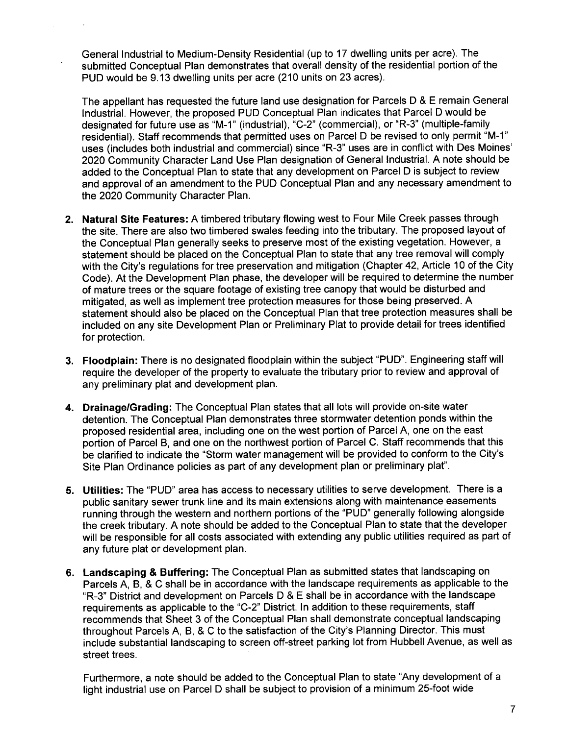General Industrial to Medium-Density Residential (up to 17 dwelling units per acre). The submitted Conceptual Plan demonstrates that overall density of the residential portion of the PUD would be 9.13 dwelling units per acre (210 units on 23 acres).

The appellant has requested the future land use designation for Parcels D & E remain General IndustriaL. However, the proposed PUD Conceptual Plan indicates that Parcel D would be designated for future use as "M-1" (industrial), "C-2" (commercial), or "R-3" (multiple-family residential). Staff recommends that permitted uses on Parcel D be revised to only permit "M-1" uses (includes both industrial and commercial) since "R-3" uses are in conflict with Des Moines' 2020 Community Character Land Use Plan designation of General IndustriaL. A note should be added to the Conceptual Plan to state that any development on Parcel D is subject to review and approval of an amendment to the PUD Conceptual Plan and any necessary amendment to the 2020 Community Character Plan.

- 2. Natural Site Features: A timbered tributary flowing west to Four Mile Creek passes through the site. There are also two timbered swales feeding into the tributary. The proposed layout of the Conceptual Plan generally seeks to preserve most of the existing vegetation. However, a statement should be placed on the Conceptual Plan to state that any tree removal will comply with the City's regulations for tree preservation and mitigation (Chapter 42, Article 10 of the City Code). At the Development Plan phase, the developer will be required to determine the number of mature trees or the square footage of existing tree canopy that would be disturbed and mitigated, as well as implement tree protection measures for those being preserved. A statement should also be placed on the Conceptual Plan that tree protection measures shall be included on any site Development Plan or Preliminary Plat to provide detail for trees identified for protection.
- 3. Floodplain: There is no designated floodplain within the subject "PUD". Engineering staff will require the developer of the property to evaluate the tributary prior to review and approval of any preliminary plat and development plan.
- 4. Drainage/Grading: The Conceptual Plan states that all lots will provide on-site water detention. The Conceptual Plan demonstrates three stormwater detention ponds within the proposed residential area, including one on the west portion of Parcel A, one on the east portion of Parcel B, and one on the northwest portion of Parcel C. Staff recommends that this be clarified to indicate the "Storm water management will be provided to conform to the City's Site Plan Ordinance policies as part of any development plan or preliminary plat".
- 5. Utilties: The "PUD" area has access to necessary utilities to serve development. There is a public sanitary sewer trunk line and its main extensions along with maintenance easements running through the western and northern portions of the "PUD" generally following alongside the creek tributary. A note should be added to the Conceptual Plan to state that the developer will be responsible for all costs associated with extending any public utilities required as part of any future plat or development plan.
- 6. Landscaping & Buffering: The Conceptual Plan as submitted states that landscaping on Parcels A, B, & C shall be in accordance with the landscape requirements as applicable to the "R-3" District and development on Parcels D & E shall be in accordance with the landscape requirements as applicable to the "C-2" District. In addition to these requirements, staff recommends that Sheet 3 of the Conceptual Plan shall demonstrate conceptual landscaping throughout Parcels A, B, & C to the satisfaction of the City's Planning Director. This must include substantial landscaping to screen off-street parking lot from Hubbell Avenue, as well as street trees.

Furthermore, a note should be added to the Conceptual Plan to state "Any development of a light industrial use on Parcel D shall be subject to provision of a minimum 25-foot wide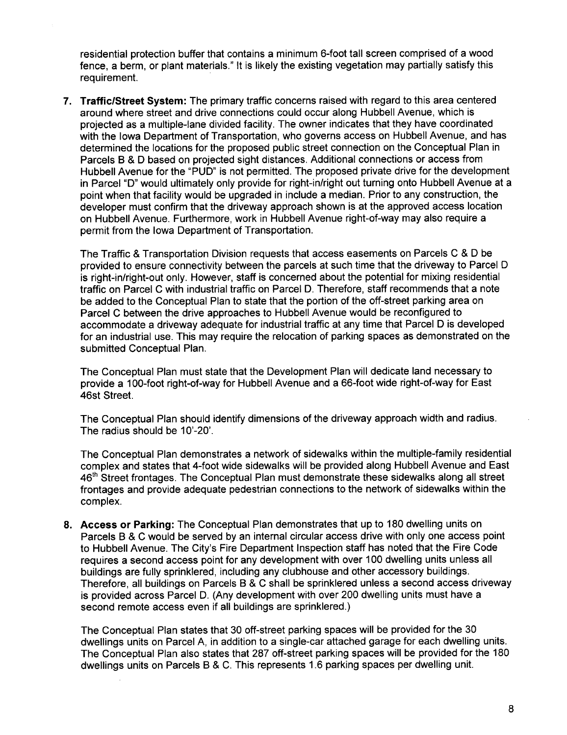residential protection buffer that contains a minimum 6-foot tall screen comprised of a wood fence, a berm, or plant materials." It is likely the existing vegetation may partially satisfy this requirement.

7. Traffic/Street System: The primary traffic concerns raised with regard to this area centered around where street and drive connections could occur along Hubbell Avenue, which is projected as a multiple-lane divided facility. The owner indicates that they have coordinated with the Iowa Department of Transportation, who governs access on Hubbell Avenue, and has determined the locations for the proposed public street connection on the Conceptual Plan in Parcels B & D based on projected sight distances. Additional connections or access from Hubbell Avenue for the "PUD" is not permitted. The proposed private drive for the development in Parcel "D" would ultimately only provide for right-in/right out turning onto Hubbell Avenue at a point when that facility would be upgraded in include a median. Prior to any construction, the developer must confirm that the driveway approach shown is at the approved access location on Hubbell Avenue. Furthermore, work in Hubbell Avenue right-of-way may also require a permit from the Iowa Department of Transportation.

The Traffic & Transportation Division requests that access easements on Parcels C & D be provided to ensure connectivity between the parcels at such time that the driveway to Parcel D is right-in/right-out only. However, staff is concerned about the potential for mixing residential traffic on Parcel C with industrial traffic on Parcel D. Therefore, staff recommends that a note be added to the Conceptual Plan to state that the portion of the off-street parking area on Parcel C between the drive approaches to Hubbell Avenue would be reconfigured to accommodate a driveway adequate for industrial traffic at any time that Parcel D is developed for an industrial use. This may require the relocation of parking spaces as demonstrated on the submitted Conceptual Plan.

The Conceptual Plan must state that the Development Plan will dedicate land necessary to provide a 100-foot right-of-way for Hubbell Avenue and a 66-foot wide right-of-way for East 46st Street.

The Conceptual Plan should identify dimensions of the driveway approach width and radius. The radius should be 10'-20'.

The Conceptual Plan demonstrates a network of sidewalks within the multiple-family residential complex and states that 4-foot wide sidewalks will be provided along Hubbell Avenue and East 46<sup>th</sup> Street frontages. The Conceptual Plan must demonstrate these sidewalks along all street frontages and provide adequate pedestrian connections to the network of sidewalks within the complex.

8. Access or Parking: The Conceptual Plan demonstrates that up to 180 dwelling units on Parcels B & C would be served by an internal circular access drive with only one access point to Hubbell Avenue. The City's Fire Department Inspection staff has noted that the Fire Code requires a second access point for any development with over 100 dwelling units unless all buildings are fully sprinklered, including any clubhouse and other accessory buildings. Therefore, all buildings on Parcels B & C shall be sprinklered unless a second access driveway is provided across Parcel D. (Any development with over 200 dwelling units must have a second remote access even if all buildings are sprinklered.)

The Conceptual Plan states that 30 off-street parking spaces will be provided for the 30 dwellings units on Parcel A, in addition to a single-car attached garage for each dwelling units. The Conceptual Plan also states that 287 off-street parking spaces will be provided for the 180 dwellngs units on Parcels B & C. This represents 1.6 parking spaces per dwelling unit.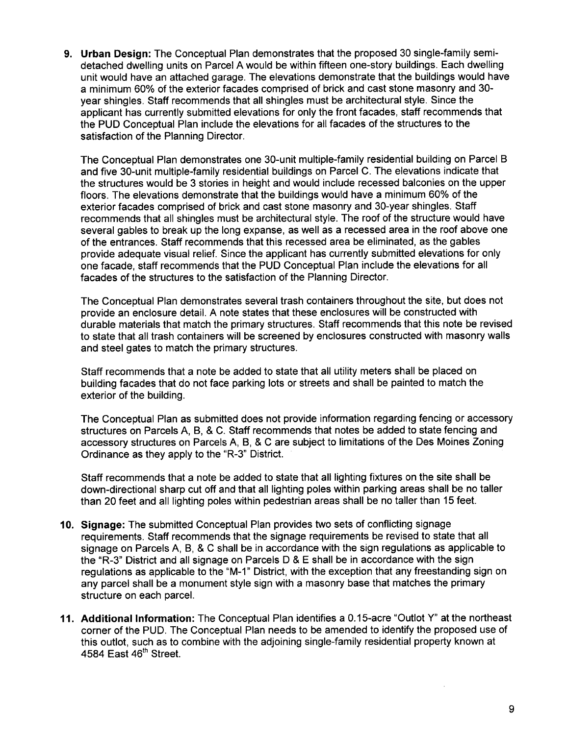9. Urban Design: The Conceptual Plan demonstrates that the proposed 30 single-family semidetached dwelling units on Parcel A would be within fifteen one-story buildings. Each dwelling unit would have an attached garage. The elevations demonstrate that the buildings would have a minimum 60% of the exterior facades comprised of brick and cast stone masonry and 30 year shingles. Staff recommends that all shingles must be architectural style. Since the applicant has currently submitted elevations for only the front facades, staff recommends that the PUD Conceptual Plan include the elevations for all facades of the structures to the satisfaction of the Planning Director.

The Conceptual Plan demonstrates one 30-unit multiple-family residential building on Parcel B and five 30-unit multiple-family residential buildings on Parcel C. The elevations indicate that the structures would be 3 stories in height and would include recessed balconies on the upper floors. The elevations demonstrate that the buildings would have a minimum 60% of the exterior facades comprised of brick and cast stone masonry and 30-year shingles. Staff recommends that all shingles must be architectural style. The roof of the structure would have several gables to break up the long expanse, as well as a recessed area in the roof above one of the entrances. Staff recommends that this recessed area be eliminated, as the gables provide adequate visual relief. Since the applicant has currently submitted elevations for only one facade, staff recommends that the PUD Conceptual Plan include the elevations for all facades of the structures to the satisfaction of the Planning Director.

The Conceptual Plan demonstrates several trash containers throughout the site, but does not provide an enclosure detaiL. A note states that these enclosures will be constructed with durable materials that match the primary structures. Staff recommends that this note be revised to state that all trash containers will be screened by enclosures constructed with masonry walls and steel gates to match the primary structures.

Staff recommends that a note be added to state that all utility meters shall be placed on building facades that do not face parking lots or streets and shall be painted to match the exterior of the building.

The Conceptual Plan as submitted does not provide information regarding fencing or accessory structures on Parcels A, B, & C. Staff recommends that notes be added to state fencing and accessory structures on Parcels A, B, & C are subject to limitations of the Des Moines Zoning Ordinance as they apply to the "R-3" District.

Staff recommends that a note be added to state that all lighting fixtures on the site shall be down-directional sharp cut off and that all lighting poles within parking areas shall be no taller than 20 feet and all lighting poles within pedestrian areas shall be no taller than 15 feet.

- 10. Signage: The submitted Conceptual Plan provides two sets of conflicting signage requirements. Staff recommends that the signage requirements be revised to state that all signage on Parcels A, B, & C shall be in accordance with the sign regulations as applicable to the "R-3" District and all signage on Parcels D & E shall be in accordance with the sign regulations as applicable to the "M-1" District, with the exception that any freestanding sign on any parcel shall be a monument style sign with a masonry base that matches the primary structure on each parcel.
- 11. Additional Information: The Conceptual Plan identifies a 0.15-acre "Outlot Y" at the northeast corner of the PUD. The Conceptual Plan needs to be amended to identify the proposed use of this outlot, such as to combine with the adjoining single-family residential property known at 4584 East 46<sup>th</sup> Street.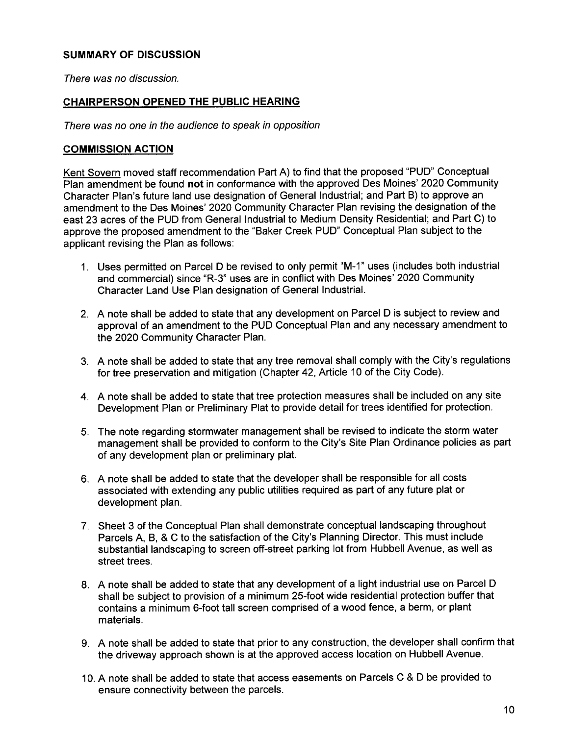## SUMMARY OF DISCUSSION

There was no discussion.

## CHAIRPERSON OPENED THE PUBLIC HEARING

There was no one in the audience to speak in opposition

## COMMISSION ACTION

Kent Sovern moved staff recommendation Part A) to find that the proposed "PUD" Conceptual Plan amendment be found not in conformance with the approved Des Moines' 2020 Community Character Plan's future land use designation of General Industrial; and Part B) to approve an amendment to the Des Moines' 2020 Community Character Plan revising the designation of the east 23 acres of the PUD from General Industrial to Medium Density Residential; and Part C) to approve the proposed amendment to the "Baker Creek PUD" Conceptual Plan subject to the applicant revising the Plan as follows:

- 1. Uses permitted on Parcel D be revised to only permit "M-1" uses (includes both industrial and commercial) since "R-3" uses are in conflict with Des Moines' 2020 Community Character Land Use Plan designation of General IndustriaL.
- 2. A note shall be added to state that any development on Parcel D is subject to review and approval of an amendment to the PUD Conceptual Plan and any necessary amendment to the 2020 Community Character Plan.
- 3. A note shall be added to state that any tree removal shall comply with the City's regulations for tree preservation and mitigation (Chapter 42, Article 10 of the City Code).
- 4. A note shall be added to state that tree protection measures shall be included on any site Development Plan or Preliminary Plat to provide detail for trees identified for protection.
- 5. The note regarding stormwater management shall be revised to indicate the storm water management shall be provided to conform to the City's Site Plan Ordinance policies as part of any development plan or preliminary plat.
- 6. A note shall be added to state that the developer shall be responsible for all costs associated with extending any public utilities required as part of any future plat or development plan.
- 7. Sheet 3 of the Conceptual Plan shall demonstrate conceptual landscaping throughout Parcels A, B, & C to the satisfaction of the City's Planning Director. This must include substantial landscaping to screen off-street parking lot from Hubbell Avenue, as well as street trees.
- 8. A note shall be added to state that any development of a light industrial use on Parcel D shall be subject to provision of a minimum 25-foot wide residential protection buffer that contains a minimum 6-foot tall screen comprised of a wood fence, a berm, or plant materials.
- 9. A note shall be added to state that prior to any construction, the developer shall confirm that the driveway approach shown is at the approved access location on Hubbell Avenue.
- 10. A note shall be added to state that access easements on Parcels C & D be provided to ensure connectivity between the parcels.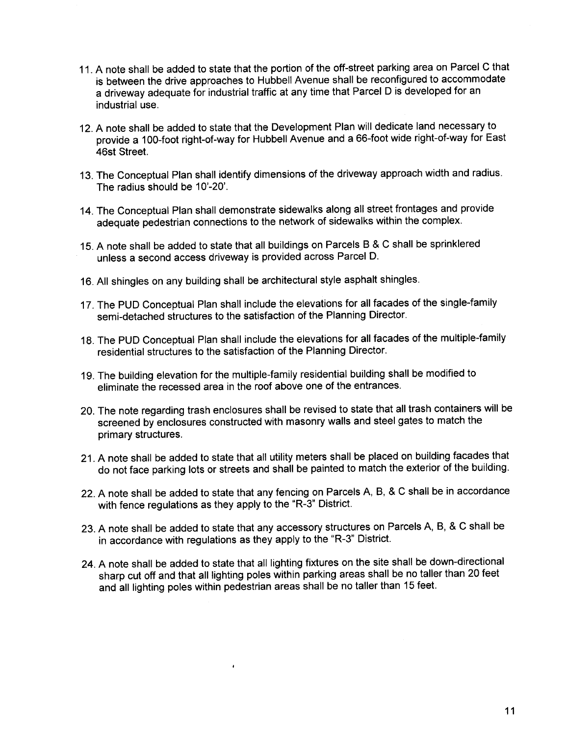- 11. A note shall be added to state that the portion of the off-street parking area on Parcel C that is between the drive approaches to Hubbell Avenue shall be reconfigured to accommodate a driveway adequate for industrial traffic at any time that Parcel D is developed for an industrial use.
- 12. A note shall be added to state that the Development Plan wil dedicate land necessary to provide a 100-foot right-of-way for Hubbell Avenue and a 66-foot wide right-of-way for East 46st Street.
- 13. The Conceptual Plan shall identify dimensions of the driveway approach width and radius. The radius should be 10'-20'.
- 14. The Conceptual Plan shall demonstrate sidewalks along all street frontages and provide adequate pedestrian connections to the network of sidewalks within the complex.
- 15. A note shall be added to state that all buildings on Parcels B & C shall be sprinklered unless a second access driveway is provided across Parcel D.
- 16. All shingles on any building shall be architectural style asphalt shingles.
- 17. The PUD Conceptual Plan shall include the elevations for all facades of the single-family semi-detached structures to the satisfaction of the Planning Director.
- 18. The PUD Conceptual Plan shall include the elevations for all facades of the multiple-family residential structures to the satisfaction of the Planning Director.
- 19. The building elevation for the multiple-family residential building shall be modified to eliminate the recessed area in the roof above one of the entrances.
- 20. The note regarding trash enclosures shall be revised to state that all trash containers will be screened by enclosures constructed with masonry walls and steel gates to match the primary structures.
- 21. A note shall be added to state that all utility meters shall be placed on building facades that do not face parking lots or streets and shall be painted to match the exterior of the building.
- 22. A note shall be added to state that any fencing on Parcels A, B, & C shall be in accordance with fence regulations as they apply to the "R-3" District.
- 23. A note shall be added to state that any accessory structures on Parcels A, B, & C shall be in accordance with regulations as they apply to the "R-3" District.
- 24. A note shall be added to state that all lighting fixtures on the site shall be down-directional sharp cut off and that all lighting poles within parking areas shall be no taller than 20 feet and all lighting poles within pedestrian areas shall be no taller than 15 feet.

 $\lambda$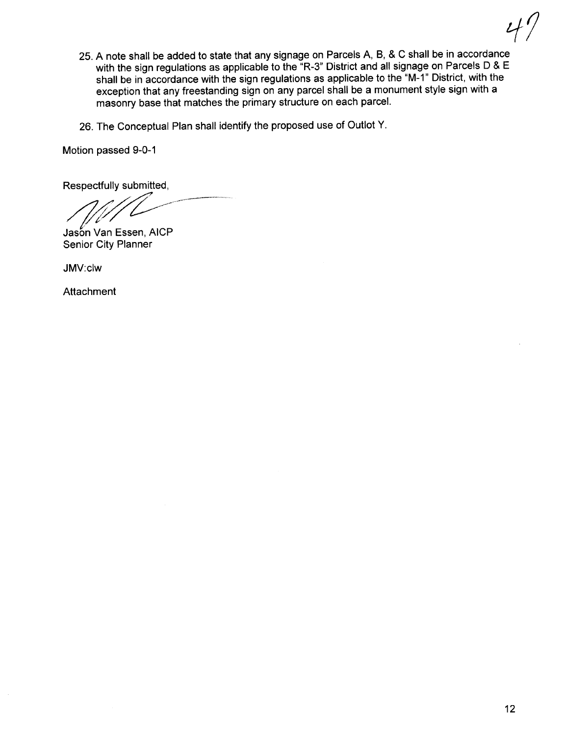$4\frac{1}{2}$ 

- 25. A note shall be added to state that any signage on Parcels A, B, & C shall be in accordance with the sign regulations as applicable to the "R-3" District and all signage on Parcels D & E shall be in accordance with the sign regulations as applicable to the "M-1" District, with the exception that any freestanding sign on any parcel shall be a monument style sign with a masonry base that matches the primary structure on each parceL.
- 26. The Conceptual Plan shall identify the proposed use of Outlot Y.

Motion passed 9-0-1

Respectfully submitted,

Jasón Van Essen, AICP Senior City Planner

JMV:clw

Attachment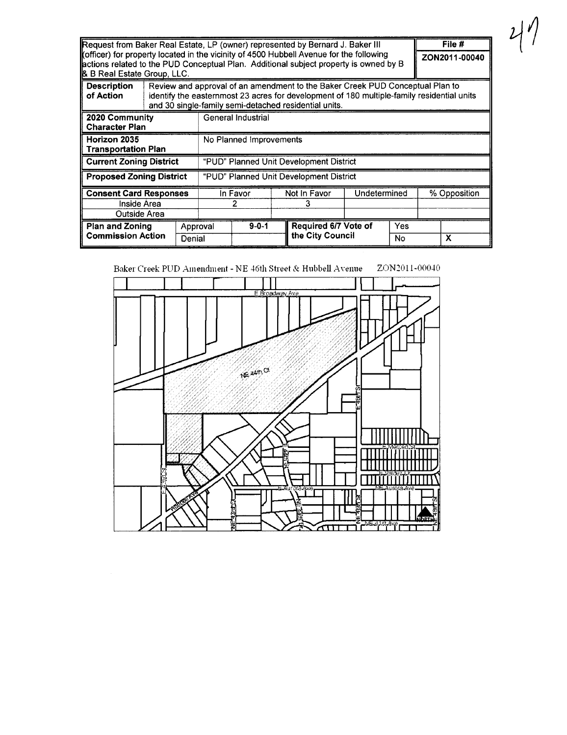| Request from Baker Real Estate, LP (owner) represented by Bernard J. Baker III<br>File #<br>(officer) for property located in the vicinity of 4500 Hubbell Avenue for the following<br>ZON2011-00040<br>actions related to the PUD Conceptual Plan. Additional subject property is owned by B<br><b>&amp; B Real Estate Group, LLC.</b> |                                                                                                                                                                                                                                      |                    |             |          |  |                      |              |     |              |   |
|-----------------------------------------------------------------------------------------------------------------------------------------------------------------------------------------------------------------------------------------------------------------------------------------------------------------------------------------|--------------------------------------------------------------------------------------------------------------------------------------------------------------------------------------------------------------------------------------|--------------------|-------------|----------|--|----------------------|--------------|-----|--------------|---|
| <b>Description</b><br>of Action                                                                                                                                                                                                                                                                                                         | Review and approval of an amendment to the Baker Creek PUD Conceptual Plan to<br>identify the easternmost 23 acres for development of 180 multiple-family residential units<br>and 30 single-family semi-detached residential units. |                    |             |          |  |                      |              |     |              |   |
| 2020 Community<br><b>Character Plan</b>                                                                                                                                                                                                                                                                                                 |                                                                                                                                                                                                                                      | General Industrial |             |          |  |                      |              |     |              |   |
| Horizon 2035<br>Transportation Plan                                                                                                                                                                                                                                                                                                     | No Planned Improvements                                                                                                                                                                                                              |                    |             |          |  |                      |              |     |              |   |
| <b>Current Zoning District</b>                                                                                                                                                                                                                                                                                                          | "PUD" Planned Unit Development District                                                                                                                                                                                              |                    |             |          |  |                      |              |     |              |   |
| <b>Proposed Zoning District</b>                                                                                                                                                                                                                                                                                                         | "PUD" Planned Unit Development District                                                                                                                                                                                              |                    |             |          |  |                      |              |     |              |   |
| <b>Consent Card Responses</b>                                                                                                                                                                                                                                                                                                           |                                                                                                                                                                                                                                      |                    |             | In Favor |  | Not In Favor         | Undetermined |     | % Opposition |   |
| Inside Area                                                                                                                                                                                                                                                                                                                             |                                                                                                                                                                                                                                      |                    |             |          |  |                      |              |     |              |   |
| Outside Area                                                                                                                                                                                                                                                                                                                            |                                                                                                                                                                                                                                      |                    |             |          |  |                      |              |     |              |   |
| <b>Plan and Zoning</b>                                                                                                                                                                                                                                                                                                                  | Approval<br>Denial                                                                                                                                                                                                                   |                    | $9 - 0 - 1$ |          |  | Required 6/7 Vote of |              | Yes |              |   |
| <b>Commission Action</b>                                                                                                                                                                                                                                                                                                                |                                                                                                                                                                                                                                      |                    |             |          |  | the City Council     |              | No  |              | X |

 $2/$ 

Baker Creek PUD Amendment - NE 46th Street & Hubbell Avenue ZON2011-00040

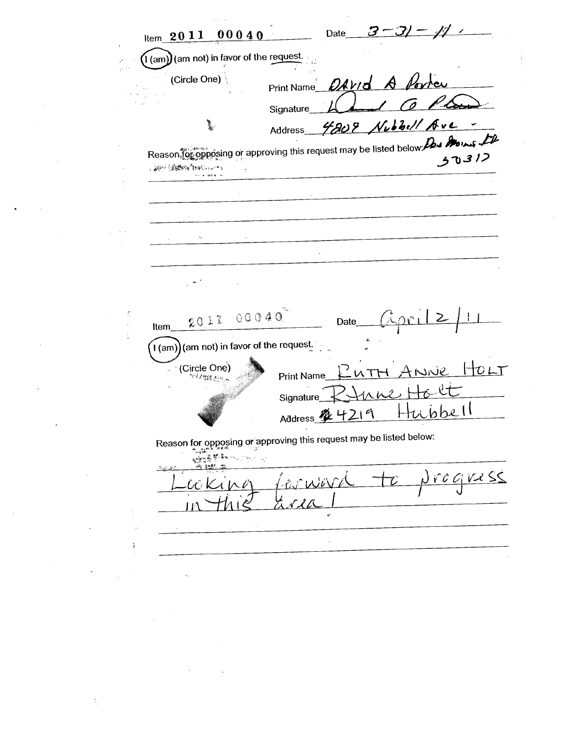Item  $2011$ Date  $00040$ (am not) in favor of the request. (1 (am) .<br>List  $\mathbb{R}^{1\times n}$ (Circle One) DAVID Print Name  $\bar{z}$ Signature  $N_{\nu}$ bbell 4208  $vd$  $\ddot{\phantom{0}}$ Address<sub>.</sub> Reason for opposing or approving this request may be listed below. Des Proves 50312 The original particular .<br>|પર કચલપંક જ  $\omega_{\rm c}$ 2011  $00040$ Date Ĵ. Item (am not) in favor of the request.  $\mathsf{I}$  (am) (Circle One)  $H_{\text{C}}$ LT **UTH** K VA **Print Name** بىدى<del>تى ئۇلۇق</del> ئىرا<sup>ندۇن</sup> Signature ااعطاه Address 4 421  $\mathcal{A}$ 十亿 Reason for opposing or approving this request may be listed below: **STALL** ng p  $\mathcal{A}_i$ يتيبك rogness ぶい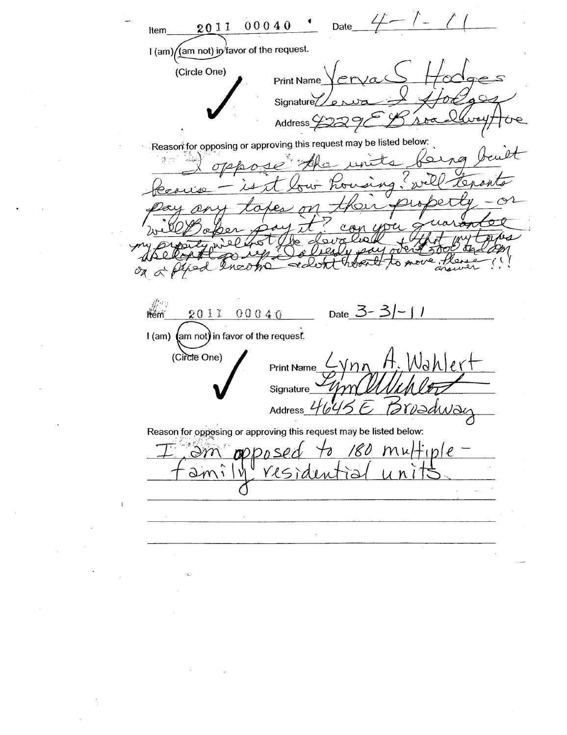$00040$ ×, Date 2011 **Item** I (am)  $\frac{1}{2}$  (am not) in favor of the request. (Circle One) **Print Name** Signature Address<sup>6</sup> Reason for opposing or approving this request may be listed below:  $\mathcal{R}^{1, \mathrm{res}}$ Wie ?  $\lambda$ Γs a  $\overline{O}$  $\frac{f_1^{h_1}}{$  Nem<sup>2</sup> Date  $3 \mathbf{\mathcal{Z}}$ 2011  $00040$ I (am) (am not) in favor of the request. (Circle One) **Print Name** Signature  $\iota$ ヨパ Address\_ Reason for opposing or approving this request may be listed below: 180 ð  $M\mu$  $inh$  $n^{\circ}$  $\breve{\mathbf{C}}$  $\Im r$  $\Im$  $\mathcal{M}$